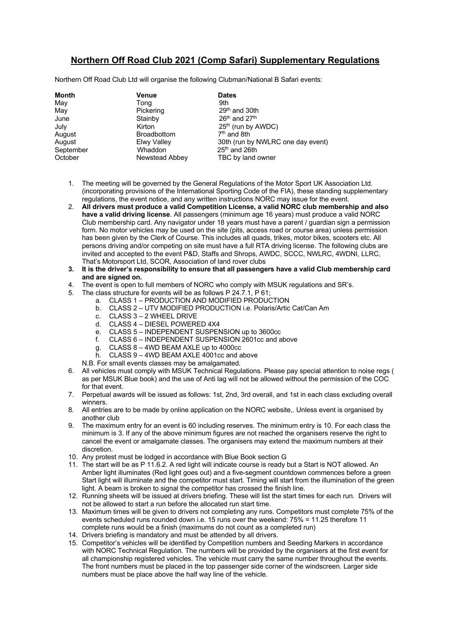## **Northern Off Road Club 2021 (Comp Safari) Supplementary Regulations**

Northern Off Road Club Ltd will organise the following Clubman/National B Safari events:

| <b>Month</b> | Venue              | <b>Dates</b>                      |
|--------------|--------------------|-----------------------------------|
| May          | Tong               | 9th                               |
| May          | Pickering          | $29th$ and 30th                   |
| June         | Stainby            | $26th$ and $27th$                 |
| July         | Kirton             | 25 <sup>th</sup> (run by AWDC)    |
| August       | <b>Broadbottom</b> | 7 <sup>th</sup> and 8th           |
| August       | Elwy Valley        | 30th (run by NWLRC one day event) |
| September    | Whaddon            | $25th$ and 26th                   |
| October      | Newstead Abbey     | TBC by land owner                 |

- 1. The meeting will be governed by the General Regulations of the Motor Sport UK Association Ltd. (incorporating provisions of the International Sporting Code of the FIA), these standing supplementary regulations, the event notice, and any written instructions NORC may issue for the event.
- 2. **All drivers must produce a valid Competition License, a valid NORC club membership and also have a valid driving license**. All passengers (minimum age 16 years) must produce a valid NORC Club membership card. Any navigator under 18 years must have a parent / guardian sign a permission form. No motor vehicles may be used on the site (pits, access road or course area) unless permission has been given by the Clerk of Course. This includes all quads, trikes, motor bikes, scooters etc. All persons driving and/or competing on site must have a full RTA driving license. The following clubs are invited and accepted to the event P&D, Staffs and Shrops, AWDC, SCCC, NWLRC, 4WDNI, LLRC, That's Motorsport Ltd, SCOR, Association of land rover clubs
- **3. It is the driver's responsibility to ensure that all passengers have a valid Club membership card and are signed on.**
- 4. The event is open to full members of NORC who comply with MSUK regulations and SR's.
- 5. The class structure for events will be as follows P 24.7.1, P 61;
	- a. CLASS 1 PRODUCTION AND MODIFIED PRODUCTION
		- b. CLASS 2 UTV MODIFIED PRODUCTION i.e. Polaris/Artic Cat/Can Am
		- c. CLASS 3 2 WHEEL DRIVE
		- d. CLASS 4 DIESEL POWERED 4X4
		- e. CLASS 5 INDEPENDENT SUSPENSION up to 3600cc
		- f. CLASS 6 INDEPENDENT SUSPENSION 2601cc and above
		- g. CLASS 8 4WD BEAM AXLE up to 4000cc
	- h. CLASS 9 4WD BEAM AXLE 4001cc and above

N.B. For small events classes may be amalgamated.

- 6. All vehicles must comply with MSUK Technical Regulations. Please pay special attention to noise regs ( as per MSUK Blue book) and the use of Anti lag will not be allowed without the permission of the COC for that event.
- 7. Perpetual awards will be issued as follows: 1st, 2nd, 3rd overall, and 1st in each class excluding overall winners.
- 8. All entries are to be made by online application on the NORC website,. Unless event is organised by another club
- 9. The maximum entry for an event is 60 including reserves. The minimum entry is 10. For each class the minimum is 3. If any of the above minimum figures are not reached the organisers reserve the right to cancel the event or amalgamate classes. The organisers may extend the maximum numbers at their discretion.
- 10. Any protest must be lodged in accordance with Blue Book section G
- 11. The start will be as P 11.6.2. A red light will indicate course is ready but a Start is NOT allowed. An Amber light illuminates (Red light goes out) and a five-segment countdown commences before a green Start light will illuminate and the competitor must start. Timing will start from the illumination of the green light. A beam is broken to signal the competitor has crossed the finish line.
- 12. Running sheets will be issued at drivers briefing. These will list the start times for each run. Drivers will not be allowed to start a run before the allocated run start time.
- 13. Maximum times will be given to drivers not completing any runs. Competitors must complete 75% of the events scheduled runs rounded down i.e. 15 runs over the weekend: 75% = 11.25 therefore 11 complete runs would be a finish (maximums do not count as a completed run)
- 14. Drivers briefing is mandatory and must be attended by all drivers.
- 15. Competitor's vehicles will be identified by Competition numbers and Seeding Markers in accordance with NORC Technical Regulation. The numbers will be provided by the organisers at the first event for all championship registered vehicles. The vehicle must carry the same number throughout the events. The front numbers must be placed in the top passenger side corner of the windscreen. Larger side numbers must be place above the half way line of the vehicle.